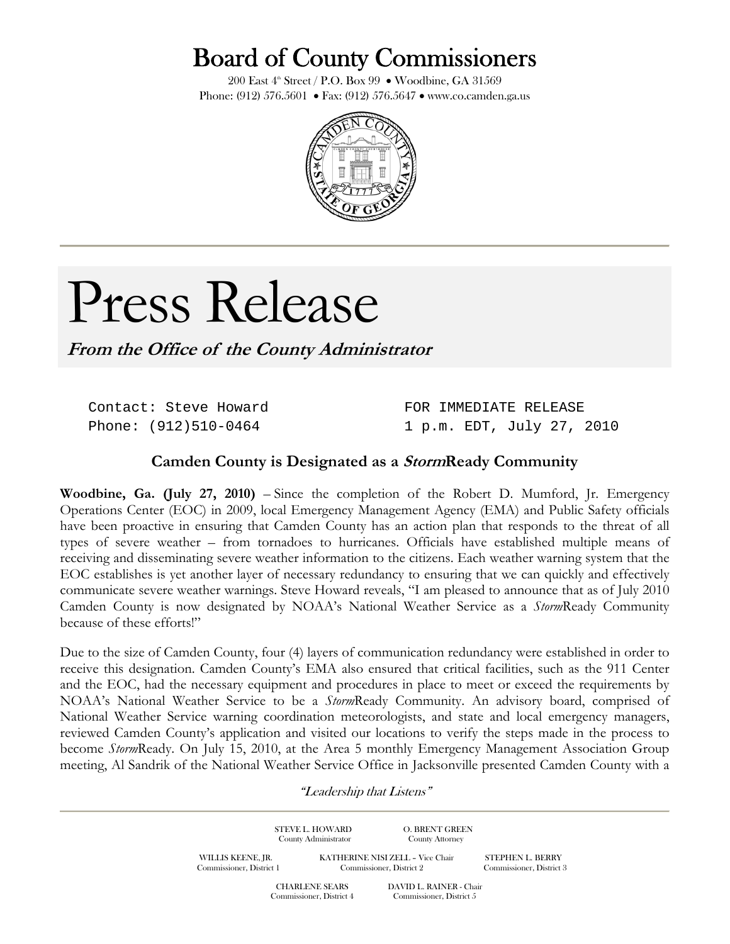## Board of County Commissioners

200 East  $4^{\text{th}}$  Street / P.O. Box 99 • Woodbine, GA 31569 Phone: (912) 576.5601 • Fax: (912) 576.5647 • www.co.camden.ga.us



## Press Release

**From the Office of the County Administrator**

Contact: Steve Howard Phone: (912)510-0464

FOR IMMEDIATE RELEASE 1 p.m. EDT, July 27, 2010

## **Camden County is Designated as a StormReady Community**

**Woodbine, Ga. (July 27, 2010)** – Since the completion of the Robert D. Mumford, Jr. Emergency Operations Center (EOC) in 2009, local Emergency Management Agency (EMA) and Public Safety officials have been proactive in ensuring that Camden County has an action plan that responds to the threat of all types of severe weather – from tornadoes to hurricanes. Officials have established multiple means of receiving and disseminating severe weather information to the citizens. Each weather warning system that the EOC establishes is yet another layer of necessary redundancy to ensuring that we can quickly and effectively communicate severe weather warnings. Steve Howard reveals, "I am pleased to announce that as of July 2010 Camden County is now designated by NOAA's National Weather Service as a *Storm*Ready Community because of these efforts!"

Due to the size of Camden County, four (4) layers of communication redundancy were established in order to receive this designation. Camden County's EMA also ensured that critical facilities, such as the 911 Center and the EOC, had the necessary equipment and procedures in place to meet or exceed the requirements by NOAA's National Weather Service to be a *Storm*Ready Community. An advisory board, comprised of National Weather Service warning coordination meteorologists, and state and local emergency managers, reviewed Camden County's application and visited our locations to verify the steps made in the process to become *Storm*Ready. On July 15, 2010, at the Area 5 monthly Emergency Management Association Group meeting, Al Sandrik of the National Weather Service Office in Jacksonville presented Camden County with a

"Leadership that Listens"

| WILLIS KEENE, JR.<br>Commissioner, District 1 | STEVE L. HOWARD<br>County Administrator           | <b>O. BRENT GREEN</b><br><b>County Attorney</b><br>KATHERINE NISI ZELL - Vice Chair<br>Commissioner, District 2 | <b>STEPHEN L. BERRY</b><br>Commissioner, District 3 |
|-----------------------------------------------|---------------------------------------------------|-----------------------------------------------------------------------------------------------------------------|-----------------------------------------------------|
|                                               | <b>CHARLENE SEARS</b><br>Commissioner, District 4 | DAVID L. RAINER - Chair<br>Commissioner, District 5                                                             |                                                     |